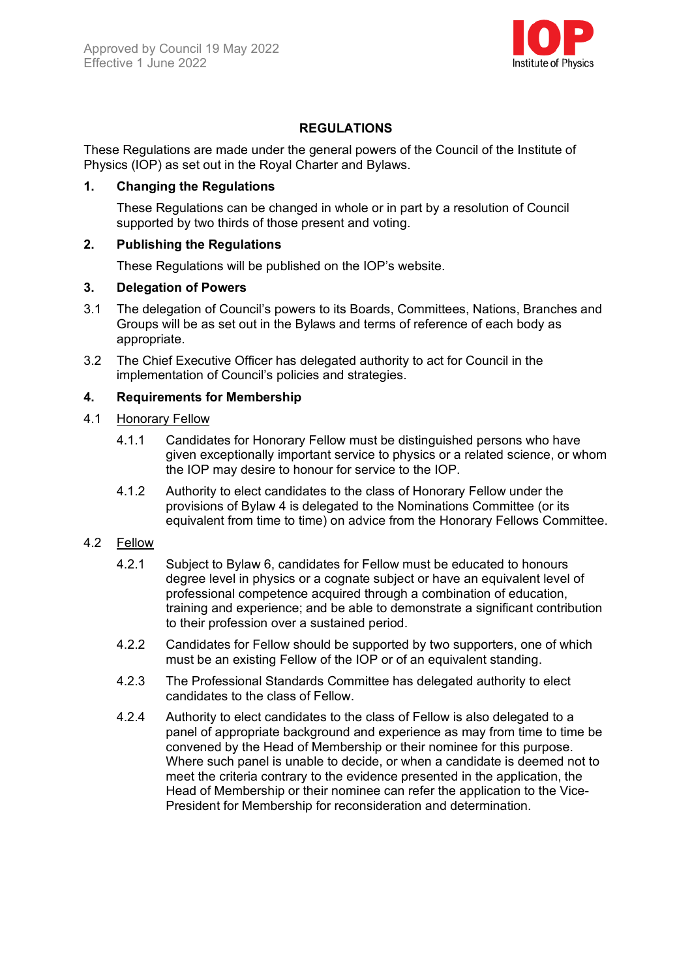

# **REGULATIONS**

These Regulations are made under the general powers of the Council of the Institute of Physics (IOP) as set out in the Royal Charter and Bylaws.

## **1. Changing the Regulations**

These Regulations can be changed in whole or in part by a resolution of Council supported by two thirds of those present and voting.

## **2. Publishing the Regulations**

These Regulations will be published on the IOP's website.

## **3. Delegation of Powers**

- 3.1 The delegation of Council's powers to its Boards, Committees, Nations, Branches and Groups will be as set out in the Bylaws and terms of reference of each body as appropriate.
- 3.2 The Chief Executive Officer has delegated authority to act for Council in the implementation of Council's policies and strategies.

## **4. Requirements for Membership**

#### 4.1 Honorary Fellow

- 4.1.1 Candidates for Honorary Fellow must be distinguished persons who have given exceptionally important service to physics or a related science, or whom the IOP may desire to honour for service to the IOP.
- 4.1.2 Authority to elect candidates to the class of Honorary Fellow under the provisions of Bylaw 4 is delegated to the Nominations Committee (or its equivalent from time to time) on advice from the Honorary Fellows Committee.

## 4.2 Fellow

- 4.2.1 Subject to Bylaw 6, candidates for Fellow must be educated to honours degree level in physics or a cognate subject or have an equivalent level of professional competence acquired through a combination of education, training and experience; and be able to demonstrate a significant contribution to their profession over a sustained period.
- 4.2.2 Candidates for Fellow should be supported by two supporters, one of which must be an existing Fellow of the IOP or of an equivalent standing.
- 4.2.3 The Professional Standards Committee has delegated authority to elect candidates to the class of Fellow.
- 4.2.4 Authority to elect candidates to the class of Fellow is also delegated to a panel of appropriate background and experience as may from time to time be convened by the Head of Membership or their nominee for this purpose. Where such panel is unable to decide, or when a candidate is deemed not to meet the criteria contrary to the evidence presented in the application, the Head of Membership or their nominee can refer the application to the Vice-President for Membership for reconsideration and determination.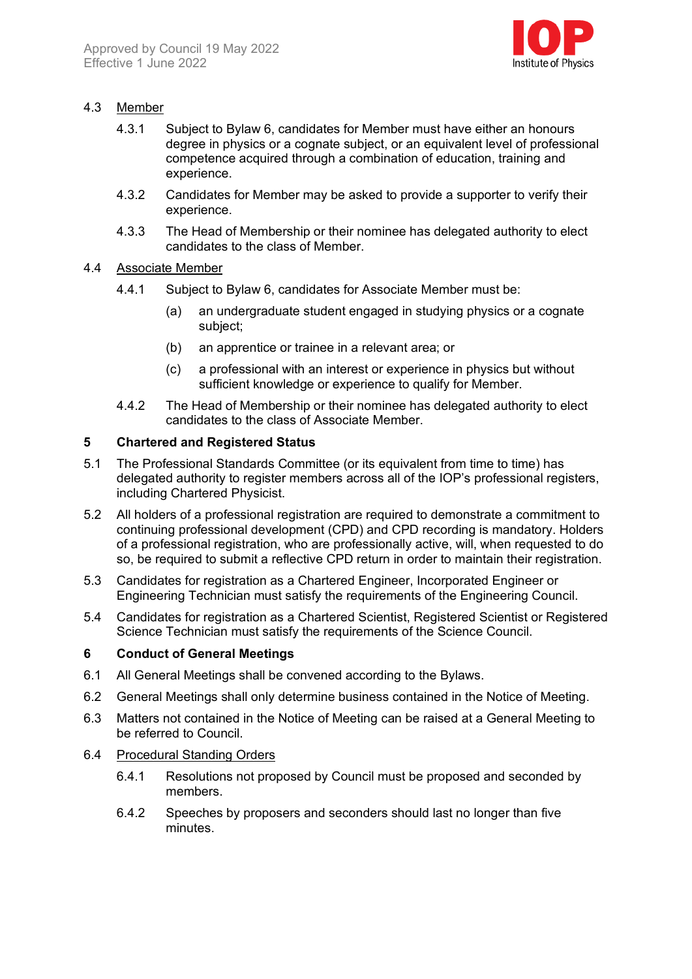

## 4.3 Member

- 4.3.1 Subject to Bylaw 6, candidates for Member must have either an honours degree in physics or a cognate subject, or an equivalent level of professional competence acquired through a combination of education, training and experience.
- 4.3.2 Candidates for Member may be asked to provide a supporter to verify their experience.
- 4.3.3 The Head of Membership or their nominee has delegated authority to elect candidates to the class of Member.

#### 4.4 Associate Member

- 4.4.1 Subject to Bylaw 6, candidates for Associate Member must be:
	- (a) an undergraduate student engaged in studying physics or a cognate subject;
	- (b) an apprentice or trainee in a relevant area; or
	- (c) a professional with an interest or experience in physics but without sufficient knowledge or experience to qualify for Member.
- 4.4.2 The Head of Membership or their nominee has delegated authority to elect candidates to the class of Associate Member.

#### **5 Chartered and Registered Status**

- 5.1 The Professional Standards Committee (or its equivalent from time to time) has delegated authority to register members across all of the IOP's professional registers, including Chartered Physicist.
- 5.2 All holders of a professional registration are required to demonstrate a commitment to continuing professional development (CPD) and CPD recording is mandatory. Holders of a professional registration, who are professionally active, will, when requested to do so, be required to submit a reflective CPD return in order to maintain their registration.
- 5.3 Candidates for registration as a Chartered Engineer, Incorporated Engineer or Engineering Technician must satisfy the requirements of the Engineering Council.
- 5.4 Candidates for registration as a Chartered Scientist, Registered Scientist or Registered Science Technician must satisfy the requirements of the Science Council.

#### **6 Conduct of General Meetings**

- 6.1 All General Meetings shall be convened according to the Bylaws.
- 6.2 General Meetings shall only determine business contained in the Notice of Meeting.
- 6.3 Matters not contained in the Notice of Meeting can be raised at a General Meeting to be referred to Council.

#### 6.4 Procedural Standing Orders

- 6.4.1 Resolutions not proposed by Council must be proposed and seconded by members.
- 6.4.2 Speeches by proposers and seconders should last no longer than five minutes.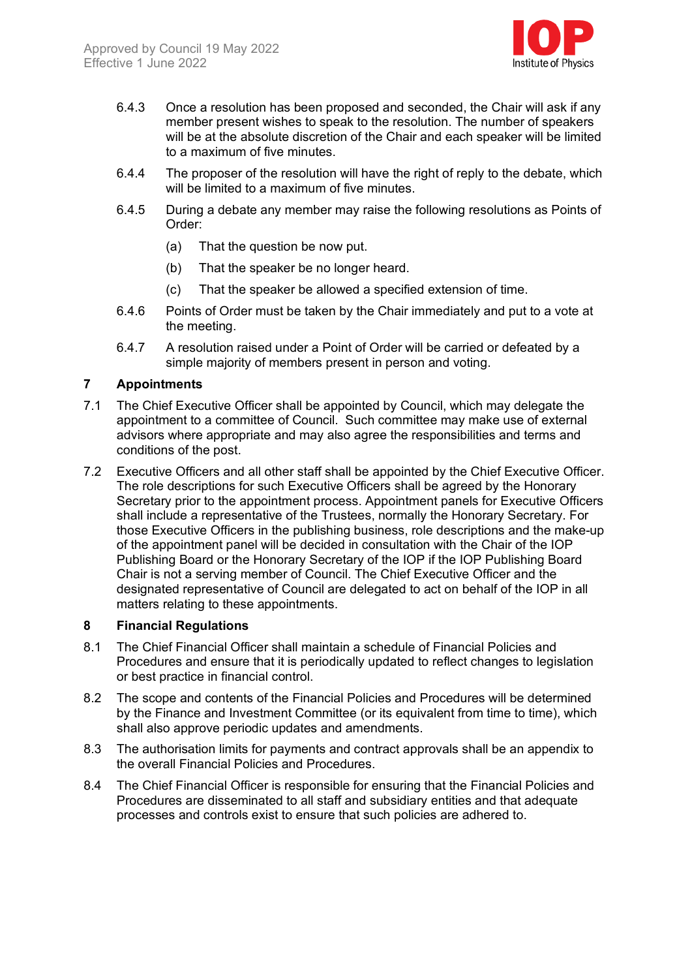

- 6.4.3 Once a resolution has been proposed and seconded, the Chair will ask if any member present wishes to speak to the resolution. The number of speakers will be at the absolute discretion of the Chair and each speaker will be limited to a maximum of five minutes.
- 6.4.4 The proposer of the resolution will have the right of reply to the debate, which will be limited to a maximum of five minutes.
- 6.4.5 During a debate any member may raise the following resolutions as Points of Order:
	- (a) That the question be now put.
	- (b) That the speaker be no longer heard.
	- (c) That the speaker be allowed a specified extension of time.
- 6.4.6 Points of Order must be taken by the Chair immediately and put to a vote at the meeting.
- 6.4.7 A resolution raised under a Point of Order will be carried or defeated by a simple majority of members present in person and voting.

## **7 Appointments**

- 7.1 The Chief Executive Officer shall be appointed by Council, which may delegate the appointment to a committee of Council. Such committee may make use of external advisors where appropriate and may also agree the responsibilities and terms and conditions of the post.
- 7.2 Executive Officers and all other staff shall be appointed by the Chief Executive Officer. The role descriptions for such Executive Officers shall be agreed by the Honorary Secretary prior to the appointment process. Appointment panels for Executive Officers shall include a representative of the Trustees, normally the Honorary Secretary. For those Executive Officers in the publishing business, role descriptions and the make-up of the appointment panel will be decided in consultation with the Chair of the IOP Publishing Board or the Honorary Secretary of the IOP if the IOP Publishing Board Chair is not a serving member of Council. The Chief Executive Officer and the designated representative of Council are delegated to act on behalf of the IOP in all matters relating to these appointments.

#### **8 Financial Regulations**

- 8.1 The Chief Financial Officer shall maintain a schedule of Financial Policies and Procedures and ensure that it is periodically updated to reflect changes to legislation or best practice in financial control.
- 8.2 The scope and contents of the Financial Policies and Procedures will be determined by the Finance and Investment Committee (or its equivalent from time to time), which shall also approve periodic updates and amendments.
- 8.3 The authorisation limits for payments and contract approvals shall be an appendix to the overall Financial Policies and Procedures.
- 8.4 The Chief Financial Officer is responsible for ensuring that the Financial Policies and Procedures are disseminated to all staff and subsidiary entities and that adequate processes and controls exist to ensure that such policies are adhered to.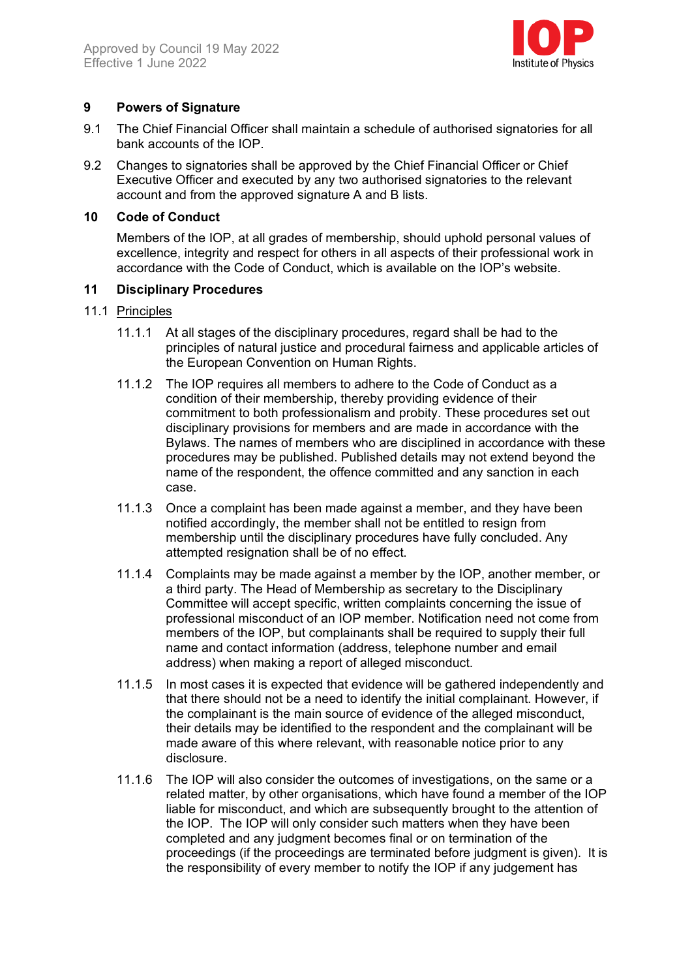

## **9 Powers of Signature**

- 9.1 The Chief Financial Officer shall maintain a schedule of authorised signatories for all bank accounts of the IOP.
- 9.2 Changes to signatories shall be approved by the Chief Financial Officer or Chief Executive Officer and executed by any two authorised signatories to the relevant account and from the approved signature A and B lists.

## **10 Code of Conduct**

Members of the IOP, at all grades of membership, should uphold personal values of excellence, integrity and respect for others in all aspects of their professional work in accordance with the Code of Conduct, which is available on the IOP's website.

## **11 Disciplinary Procedures**

## 11.1 Principles

- 11.1.1 At all stages of the disciplinary procedures, regard shall be had to the principles of natural justice and procedural fairness and applicable articles of the European Convention on Human Rights.
- 11.1.2 The IOP requires all members to adhere to the Code of Conduct as a condition of their membership, thereby providing evidence of their commitment to both professionalism and probity. These procedures set out disciplinary provisions for members and are made in accordance with the Bylaws. The names of members who are disciplined in accordance with these procedures may be published. Published details may not extend beyond the name of the respondent, the offence committed and any sanction in each case.
- 11.1.3 Once a complaint has been made against a member, and they have been notified accordingly, the member shall not be entitled to resign from membership until the disciplinary procedures have fully concluded. Any attempted resignation shall be of no effect.
- 11.1.4 Complaints may be made against a member by the IOP, another member, or a third party. The Head of Membership as secretary to the Disciplinary Committee will accept specific, written complaints concerning the issue of professional misconduct of an IOP member. Notification need not come from members of the IOP, but complainants shall be required to supply their full name and contact information (address, telephone number and email address) when making a report of alleged misconduct.
- 11.1.5 In most cases it is expected that evidence will be gathered independently and that there should not be a need to identify the initial complainant. However, if the complainant is the main source of evidence of the alleged misconduct, their details may be identified to the respondent and the complainant will be made aware of this where relevant, with reasonable notice prior to any disclosure.
- 11.1.6 The IOP will also consider the outcomes of investigations, on the same or a related matter, by other organisations, which have found a member of the IOP liable for misconduct, and which are subsequently brought to the attention of the IOP. The IOP will only consider such matters when they have been completed and any judgment becomes final or on termination of the proceedings (if the proceedings are terminated before judgment is given). It is the responsibility of every member to notify the IOP if any judgement has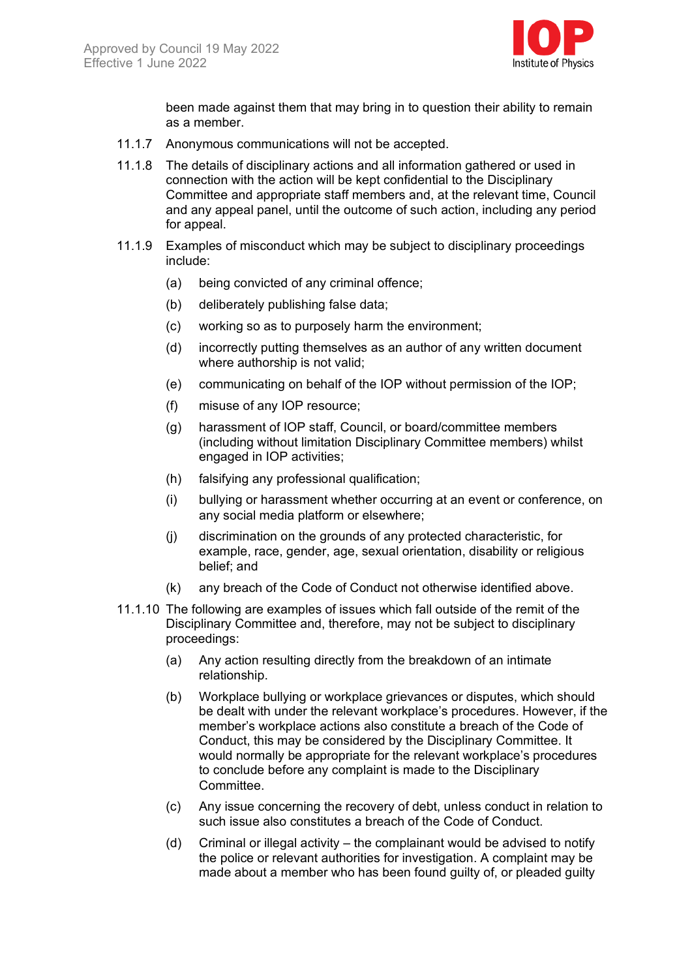

been made against them that may bring in to question their ability to remain as a member.

- 11.1.7 Anonymous communications will not be accepted.
- 11.1.8 The details of disciplinary actions and all information gathered or used in connection with the action will be kept confidential to the Disciplinary Committee and appropriate staff members and, at the relevant time, Council and any appeal panel, until the outcome of such action, including any period for appeal.
- 11.1.9 Examples of misconduct which may be subject to disciplinary proceedings include:
	- (a) being convicted of any criminal offence;
	- (b) deliberately publishing false data;
	- (c) working so as to purposely harm the environment;
	- (d) incorrectly putting themselves as an author of any written document where authorship is not valid;
	- (e) communicating on behalf of the IOP without permission of the IOP;
	- (f) misuse of any IOP resource;
	- (g) harassment of IOP staff, Council, or board/committee members (including without limitation Disciplinary Committee members) whilst engaged in IOP activities;
	- (h) falsifying any professional qualification;
	- (i) bullying or harassment whether occurring at an event or conference, on any social media platform or elsewhere;
	- (j) discrimination on the grounds of any protected characteristic, for example, race, gender, age, sexual orientation, disability or religious belief; and
	- (k) any breach of the Code of Conduct not otherwise identified above.
- 11.1.10 The following are examples of issues which fall outside of the remit of the Disciplinary Committee and, therefore, may not be subject to disciplinary proceedings:
	- (a) Any action resulting directly from the breakdown of an intimate relationship.
	- (b) Workplace bullying or workplace grievances or disputes, which should be dealt with under the relevant workplace's procedures. However, if the member's workplace actions also constitute a breach of the Code of Conduct, this may be considered by the Disciplinary Committee. It would normally be appropriate for the relevant workplace's procedures to conclude before any complaint is made to the Disciplinary Committee.
	- (c) Any issue concerning the recovery of debt, unless conduct in relation to such issue also constitutes a breach of the Code of Conduct.
	- (d) Criminal or illegal activity the complainant would be advised to notify the police or relevant authorities for investigation. A complaint may be made about a member who has been found guilty of, or pleaded guilty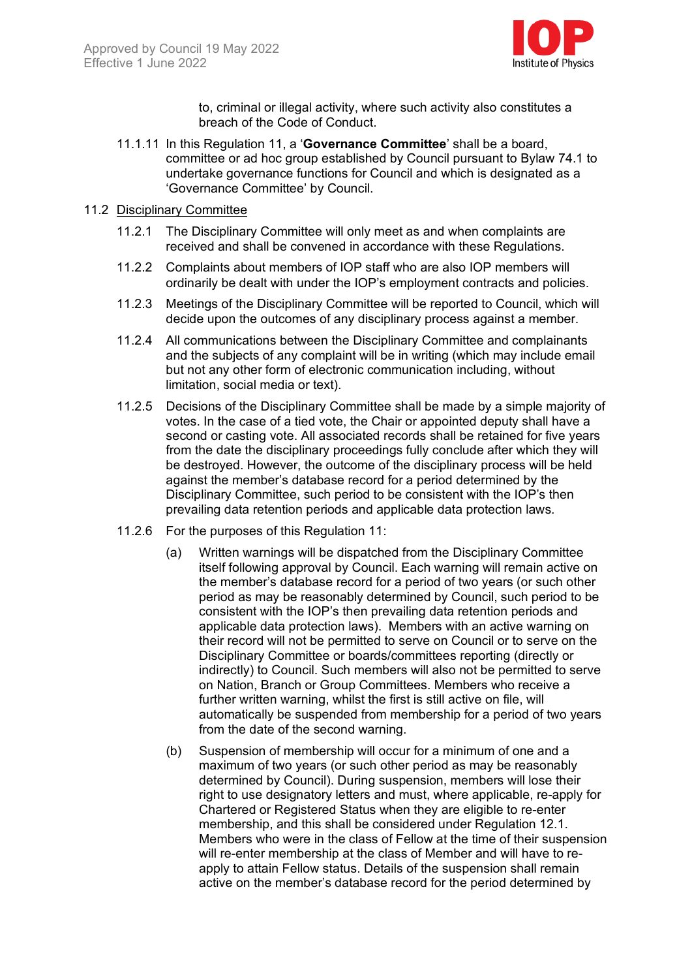

to, criminal or illegal activity, where such activity also constitutes a breach of the Code of Conduct.

11.1.11 In this Regulation 11, a '**Governance Committee**' shall be a board, committee or ad hoc group established by Council pursuant to Bylaw 74.1 to undertake governance functions for Council and which is designated as a 'Governance Committee' by Council.

#### 11.2 Disciplinary Committee

- 11.2.1 The Disciplinary Committee will only meet as and when complaints are received and shall be convened in accordance with these Regulations.
- 11.2.2 Complaints about members of IOP staff who are also IOP members will ordinarily be dealt with under the IOP's employment contracts and policies.
- 11.2.3 Meetings of the Disciplinary Committee will be reported to Council, which will decide upon the outcomes of any disciplinary process against a member.
- 11.2.4 All communications between the Disciplinary Committee and complainants and the subjects of any complaint will be in writing (which may include email but not any other form of electronic communication including, without limitation, social media or text).
- 11.2.5 Decisions of the Disciplinary Committee shall be made by a simple majority of votes. In the case of a tied vote, the Chair or appointed deputy shall have a second or casting vote. All associated records shall be retained for five years from the date the disciplinary proceedings fully conclude after which they will be destroyed. However, the outcome of the disciplinary process will be held against the member's database record for a period determined by the Disciplinary Committee, such period to be consistent with the IOP's then prevailing data retention periods and applicable data protection laws.
- 11.2.6 For the purposes of this Regulation 11:
	- (a) Written warnings will be dispatched from the Disciplinary Committee itself following approval by Council. Each warning will remain active on the member's database record for a period of two years (or such other period as may be reasonably determined by Council, such period to be consistent with the IOP's then prevailing data retention periods and applicable data protection laws). Members with an active warning on their record will not be permitted to serve on Council or to serve on the Disciplinary Committee or boards/committees reporting (directly or indirectly) to Council. Such members will also not be permitted to serve on Nation, Branch or Group Committees. Members who receive a further written warning, whilst the first is still active on file, will automatically be suspended from membership for a period of two years from the date of the second warning.
	- (b) Suspension of membership will occur for a minimum of one and a maximum of two years (or such other period as may be reasonably determined by Council). During suspension, members will lose their right to use designatory letters and must, where applicable, re-apply for Chartered or Registered Status when they are eligible to re-enter membership, and this shall be considered under Regulation 12.1. Members who were in the class of Fellow at the time of their suspension will re-enter membership at the class of Member and will have to reapply to attain Fellow status. Details of the suspension shall remain active on the member's database record for the period determined by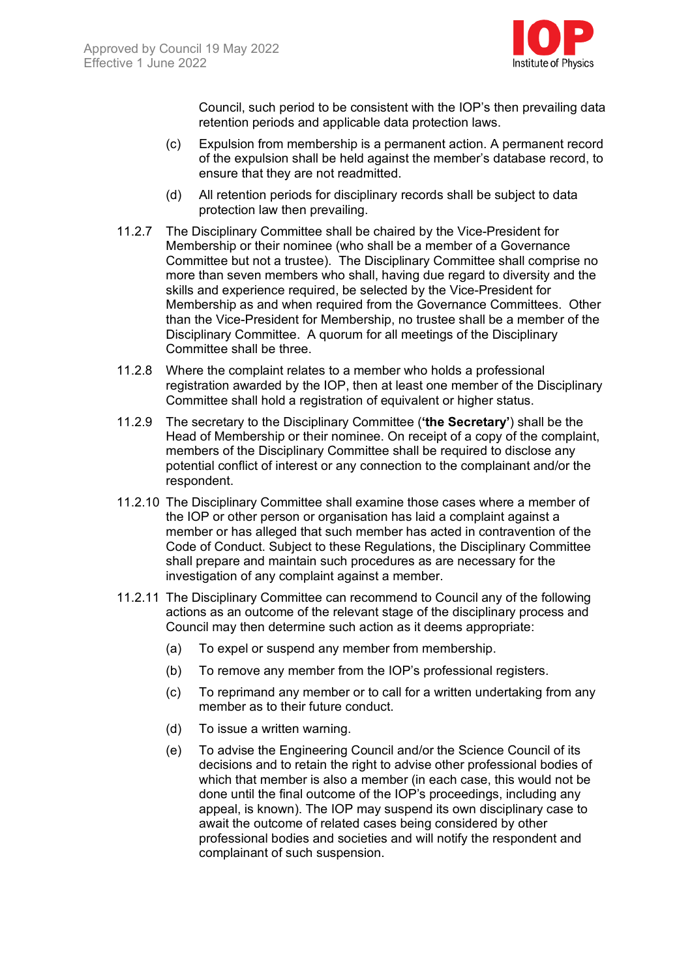

Council, such period to be consistent with the IOP's then prevailing data retention periods and applicable data protection laws.

- (c) Expulsion from membership is a permanent action. A permanent record of the expulsion shall be held against the member's database record, to ensure that they are not readmitted.
- (d) All retention periods for disciplinary records shall be subject to data protection law then prevailing.
- 11.2.7 The Disciplinary Committee shall be chaired by the Vice-President for Membership or their nominee (who shall be a member of a Governance Committee but not a trustee). The Disciplinary Committee shall comprise no more than seven members who shall, having due regard to diversity and the skills and experience required, be selected by the Vice-President for Membership as and when required from the Governance Committees. Other than the Vice-President for Membership, no trustee shall be a member of the Disciplinary Committee. A quorum for all meetings of the Disciplinary Committee shall be three.
- 11.2.8 Where the complaint relates to a member who holds a professional registration awarded by the IOP, then at least one member of the Disciplinary Committee shall hold a registration of equivalent or higher status.
- 11.2.9 The secretary to the Disciplinary Committee (**'the Secretary'**) shall be the Head of Membership or their nominee. On receipt of a copy of the complaint, members of the Disciplinary Committee shall be required to disclose any potential conflict of interest or any connection to the complainant and/or the respondent.
- 11.2.10 The Disciplinary Committee shall examine those cases where a member of the IOP or other person or organisation has laid a complaint against a member or has alleged that such member has acted in contravention of the Code of Conduct. Subject to these Regulations, the Disciplinary Committee shall prepare and maintain such procedures as are necessary for the investigation of any complaint against a member.
- 11.2.11 The Disciplinary Committee can recommend to Council any of the following actions as an outcome of the relevant stage of the disciplinary process and Council may then determine such action as it deems appropriate:
	- (a) To expel or suspend any member from membership.
	- (b) To remove any member from the IOP's professional registers.
	- (c) To reprimand any member or to call for a written undertaking from any member as to their future conduct.
	- (d) To issue a written warning.
	- (e) To advise the Engineering Council and/or the Science Council of its decisions and to retain the right to advise other professional bodies of which that member is also a member (in each case, this would not be done until the final outcome of the IOP's proceedings, including any appeal, is known). The IOP may suspend its own disciplinary case to await the outcome of related cases being considered by other professional bodies and societies and will notify the respondent and complainant of such suspension.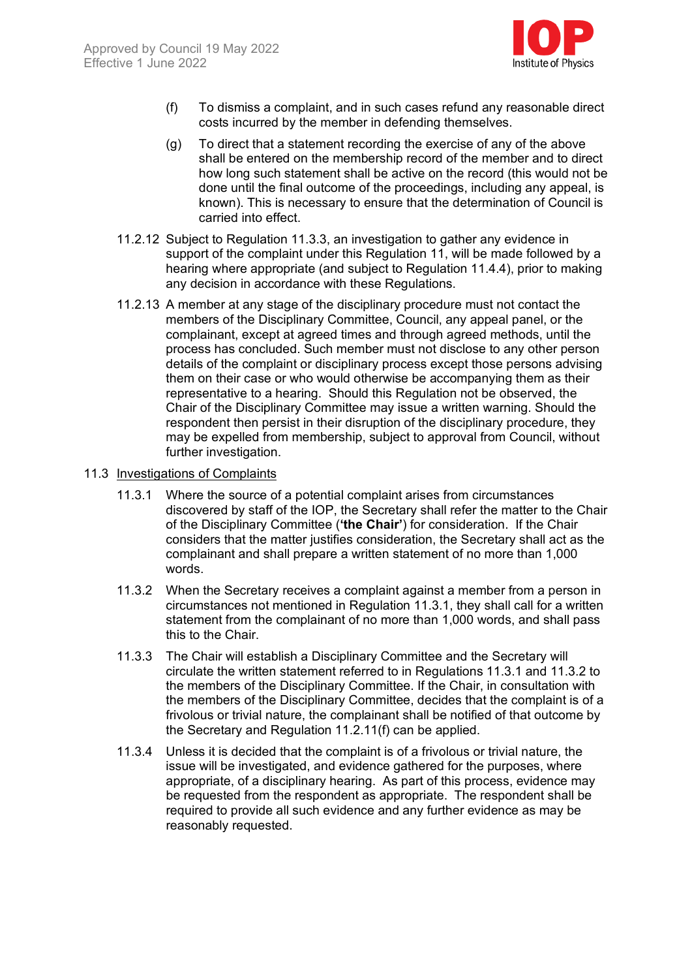

- (f) To dismiss a complaint, and in such cases refund any reasonable direct costs incurred by the member in defending themselves.
- (g) To direct that a statement recording the exercise of any of the above shall be entered on the membership record of the member and to direct how long such statement shall be active on the record (this would not be done until the final outcome of the proceedings, including any appeal, is known). This is necessary to ensure that the determination of Council is carried into effect.
- 11.2.12 Subject to Regulation 11.3.3, an investigation to gather any evidence in support of the complaint under this Regulation 11, will be made followed by a hearing where appropriate (and subject to Regulation 11.4.4), prior to making any decision in accordance with these Regulations.
- 11.2.13 A member at any stage of the disciplinary procedure must not contact the members of the Disciplinary Committee, Council, any appeal panel, or the complainant, except at agreed times and through agreed methods, until the process has concluded. Such member must not disclose to any other person details of the complaint or disciplinary process except those persons advising them on their case or who would otherwise be accompanying them as their representative to a hearing. Should this Regulation not be observed, the Chair of the Disciplinary Committee may issue a written warning. Should the respondent then persist in their disruption of the disciplinary procedure, they may be expelled from membership, subject to approval from Council, without further investigation.
- 11.3 Investigations of Complaints
	- 11.3.1 Where the source of a potential complaint arises from circumstances discovered by staff of the IOP, the Secretary shall refer the matter to the Chair of the Disciplinary Committee (**'the Chair'**) for consideration. If the Chair considers that the matter justifies consideration, the Secretary shall act as the complainant and shall prepare a written statement of no more than 1,000 words.
	- 11.3.2 When the Secretary receives a complaint against a member from a person in circumstances not mentioned in Regulation 11.3.1, they shall call for a written statement from the complainant of no more than 1,000 words, and shall pass this to the Chair.
	- 11.3.3 The Chair will establish a Disciplinary Committee and the Secretary will circulate the written statement referred to in Regulations 11.3.1 and 11.3.2 to the members of the Disciplinary Committee. If the Chair, in consultation with the members of the Disciplinary Committee, decides that the complaint is of a frivolous or trivial nature, the complainant shall be notified of that outcome by the Secretary and Regulation 11.2.11(f) can be applied.
	- 11.3.4 Unless it is decided that the complaint is of a frivolous or trivial nature, the issue will be investigated, and evidence gathered for the purposes, where appropriate, of a disciplinary hearing. As part of this process, evidence may be requested from the respondent as appropriate. The respondent shall be required to provide all such evidence and any further evidence as may be reasonably requested.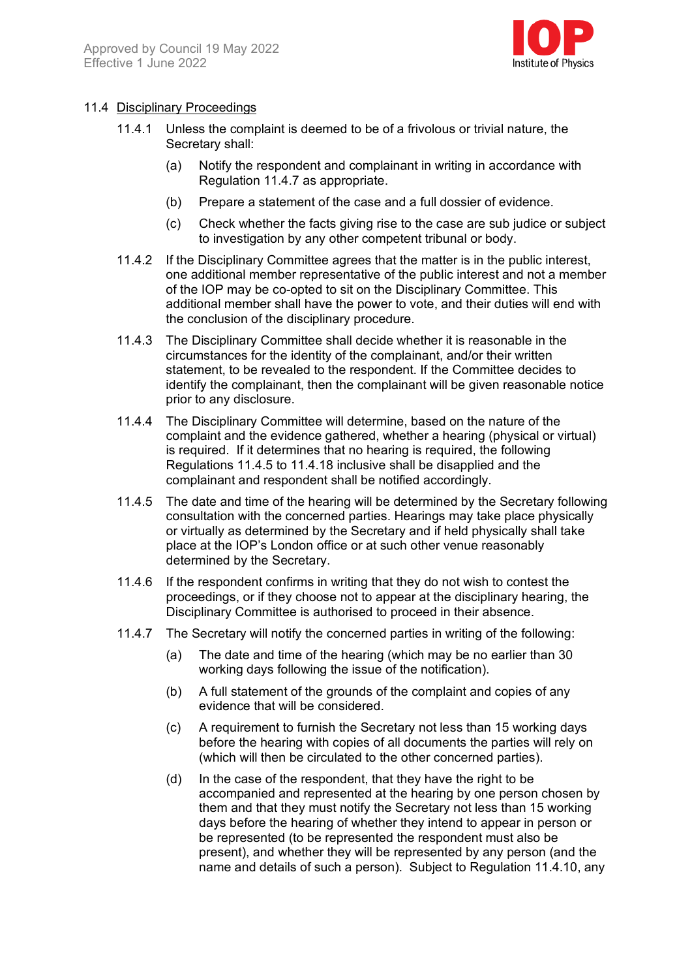

#### 11.4 Disciplinary Proceedings

- 11.4.1 Unless the complaint is deemed to be of a frivolous or trivial nature, the Secretary shall:
	- (a) Notify the respondent and complainant in writing in accordance with Regulation 11.4.7 as appropriate.
	- (b) Prepare a statement of the case and a full dossier of evidence.
	- (c) Check whether the facts giving rise to the case are sub judice or subject to investigation by any other competent tribunal or body.
- 11.4.2 If the Disciplinary Committee agrees that the matter is in the public interest, one additional member representative of the public interest and not a member of the IOP may be co-opted to sit on the Disciplinary Committee. This additional member shall have the power to vote, and their duties will end with the conclusion of the disciplinary procedure.
- 11.4.3 The Disciplinary Committee shall decide whether it is reasonable in the circumstances for the identity of the complainant, and/or their written statement, to be revealed to the respondent. If the Committee decides to identify the complainant, then the complainant will be given reasonable notice prior to any disclosure.
- 11.4.4 The Disciplinary Committee will determine, based on the nature of the complaint and the evidence gathered, whether a hearing (physical or virtual) is required. If it determines that no hearing is required, the following Regulations 11.4.5 to 11.4.18 inclusive shall be disapplied and the complainant and respondent shall be notified accordingly.
- 11.4.5 The date and time of the hearing will be determined by the Secretary following consultation with the concerned parties. Hearings may take place physically or virtually as determined by the Secretary and if held physically shall take place at the IOP's London office or at such other venue reasonably determined by the Secretary.
- 11.4.6 If the respondent confirms in writing that they do not wish to contest the proceedings, or if they choose not to appear at the disciplinary hearing, the Disciplinary Committee is authorised to proceed in their absence.
- 11.4.7 The Secretary will notify the concerned parties in writing of the following:
	- (a) The date and time of the hearing (which may be no earlier than 30 working days following the issue of the notification).
	- (b) A full statement of the grounds of the complaint and copies of any evidence that will be considered.
	- (c) A requirement to furnish the Secretary not less than 15 working days before the hearing with copies of all documents the parties will rely on (which will then be circulated to the other concerned parties).
	- (d) In the case of the respondent, that they have the right to be accompanied and represented at the hearing by one person chosen by them and that they must notify the Secretary not less than 15 working days before the hearing of whether they intend to appear in person or be represented (to be represented the respondent must also be present), and whether they will be represented by any person (and the name and details of such a person). Subject to Regulation 11.4.10, any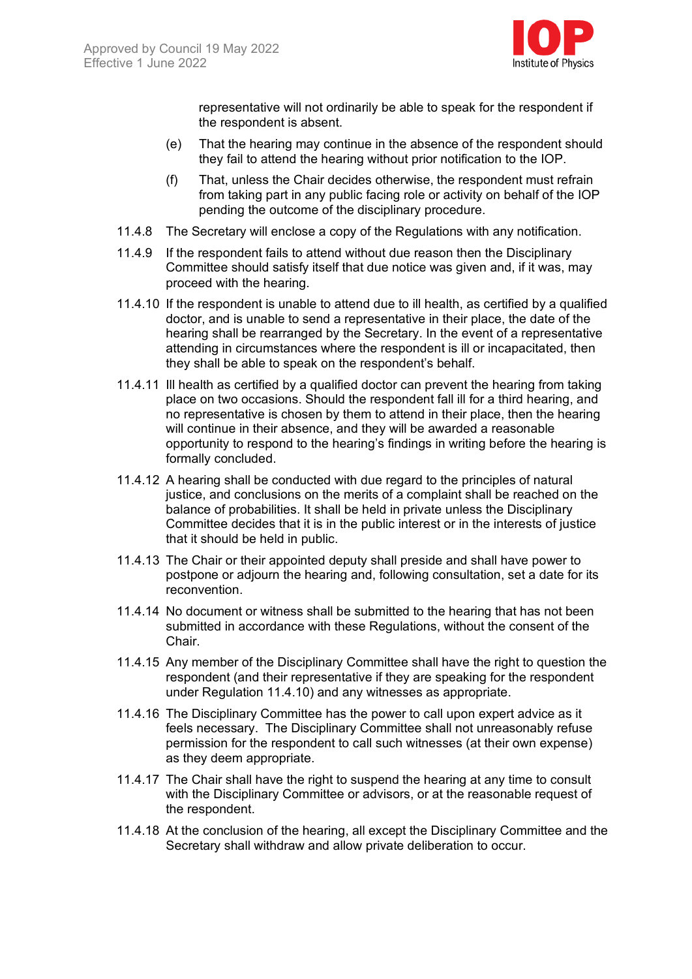

representative will not ordinarily be able to speak for the respondent if the respondent is absent.

- (e) That the hearing may continue in the absence of the respondent should they fail to attend the hearing without prior notification to the IOP.
- (f) That, unless the Chair decides otherwise, the respondent must refrain from taking part in any public facing role or activity on behalf of the IOP pending the outcome of the disciplinary procedure.
- 11.4.8 The Secretary will enclose a copy of the Regulations with any notification.
- 11.4.9 If the respondent fails to attend without due reason then the Disciplinary Committee should satisfy itself that due notice was given and, if it was, may proceed with the hearing.
- 11.4.10 If the respondent is unable to attend due to ill health, as certified by a qualified doctor, and is unable to send a representative in their place, the date of the hearing shall be rearranged by the Secretary. In the event of a representative attending in circumstances where the respondent is ill or incapacitated, then they shall be able to speak on the respondent's behalf.
- 11.4.11 Ill health as certified by a qualified doctor can prevent the hearing from taking place on two occasions. Should the respondent fall ill for a third hearing, and no representative is chosen by them to attend in their place, then the hearing will continue in their absence, and they will be awarded a reasonable opportunity to respond to the hearing's findings in writing before the hearing is formally concluded.
- 11.4.12 A hearing shall be conducted with due regard to the principles of natural justice, and conclusions on the merits of a complaint shall be reached on the balance of probabilities. It shall be held in private unless the Disciplinary Committee decides that it is in the public interest or in the interests of justice that it should be held in public.
- 11.4.13 The Chair or their appointed deputy shall preside and shall have power to postpone or adjourn the hearing and, following consultation, set a date for its reconvention.
- 11.4.14 No document or witness shall be submitted to the hearing that has not been submitted in accordance with these Regulations, without the consent of the Chair.
- 11.4.15 Any member of the Disciplinary Committee shall have the right to question the respondent (and their representative if they are speaking for the respondent under Regulation 11.4.10) and any witnesses as appropriate.
- 11.4.16 The Disciplinary Committee has the power to call upon expert advice as it feels necessary. The Disciplinary Committee shall not unreasonably refuse permission for the respondent to call such witnesses (at their own expense) as they deem appropriate.
- 11.4.17 The Chair shall have the right to suspend the hearing at any time to consult with the Disciplinary Committee or advisors, or at the reasonable request of the respondent.
- 11.4.18 At the conclusion of the hearing, all except the Disciplinary Committee and the Secretary shall withdraw and allow private deliberation to occur.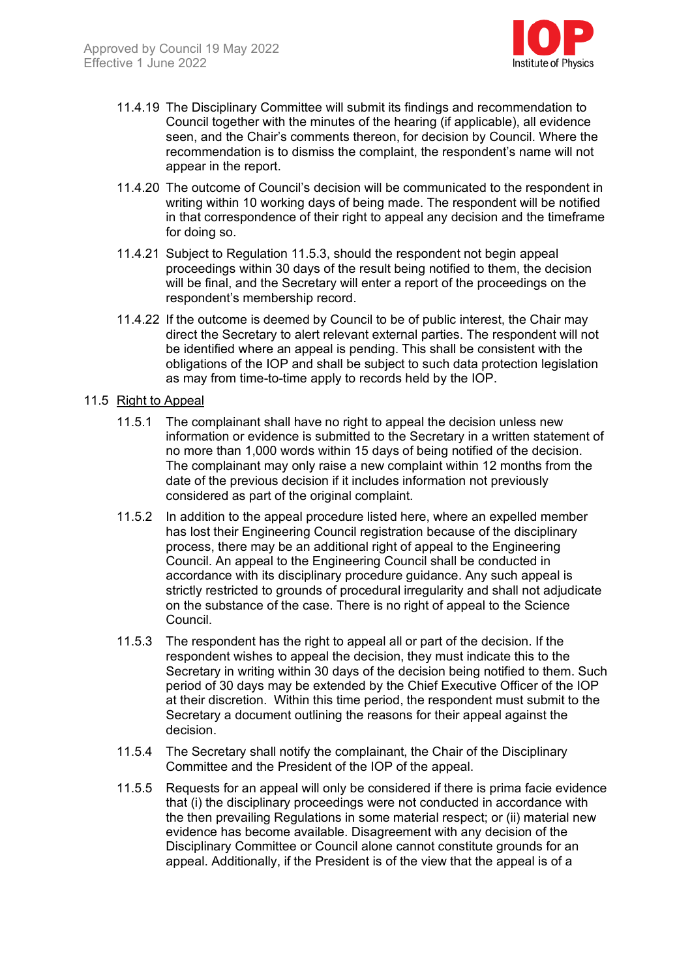

- 11.4.19 The Disciplinary Committee will submit its findings and recommendation to Council together with the minutes of the hearing (if applicable), all evidence seen, and the Chair's comments thereon, for decision by Council. Where the recommendation is to dismiss the complaint, the respondent's name will not appear in the report.
- 11.4.20 The outcome of Council's decision will be communicated to the respondent in writing within 10 working days of being made. The respondent will be notified in that correspondence of their right to appeal any decision and the timeframe for doing so.
- 11.4.21 Subject to Regulation 11.5.3, should the respondent not begin appeal proceedings within 30 days of the result being notified to them, the decision will be final, and the Secretary will enter a report of the proceedings on the respondent's membership record.
- 11.4.22 If the outcome is deemed by Council to be of public interest, the Chair may direct the Secretary to alert relevant external parties. The respondent will not be identified where an appeal is pending. This shall be consistent with the obligations of the IOP and shall be subject to such data protection legislation as may from time-to-time apply to records held by the IOP.

#### 11.5 Right to Appeal

- 11.5.1 The complainant shall have no right to appeal the decision unless new information or evidence is submitted to the Secretary in a written statement of no more than 1,000 words within 15 days of being notified of the decision. The complainant may only raise a new complaint within 12 months from the date of the previous decision if it includes information not previously considered as part of the original complaint.
- 11.5.2 In addition to the appeal procedure listed here, where an expelled member has lost their Engineering Council registration because of the disciplinary process, there may be an additional right of appeal to the Engineering Council. An appeal to the Engineering Council shall be conducted in accordance with its disciplinary procedure guidance. Any such appeal is strictly restricted to grounds of procedural irregularity and shall not adjudicate on the substance of the case. There is no right of appeal to the Science Council.
- 11.5.3 The respondent has the right to appeal all or part of the decision. If the respondent wishes to appeal the decision, they must indicate this to the Secretary in writing within 30 days of the decision being notified to them. Such period of 30 days may be extended by the Chief Executive Officer of the IOP at their discretion. Within this time period, the respondent must submit to the Secretary a document outlining the reasons for their appeal against the decision.
- 11.5.4 The Secretary shall notify the complainant, the Chair of the Disciplinary Committee and the President of the IOP of the appeal.
- 11.5.5 Requests for an appeal will only be considered if there is prima facie evidence that (i) the disciplinary proceedings were not conducted in accordance with the then prevailing Regulations in some material respect; or (ii) material new evidence has become available. Disagreement with any decision of the Disciplinary Committee or Council alone cannot constitute grounds for an appeal. Additionally, if the President is of the view that the appeal is of a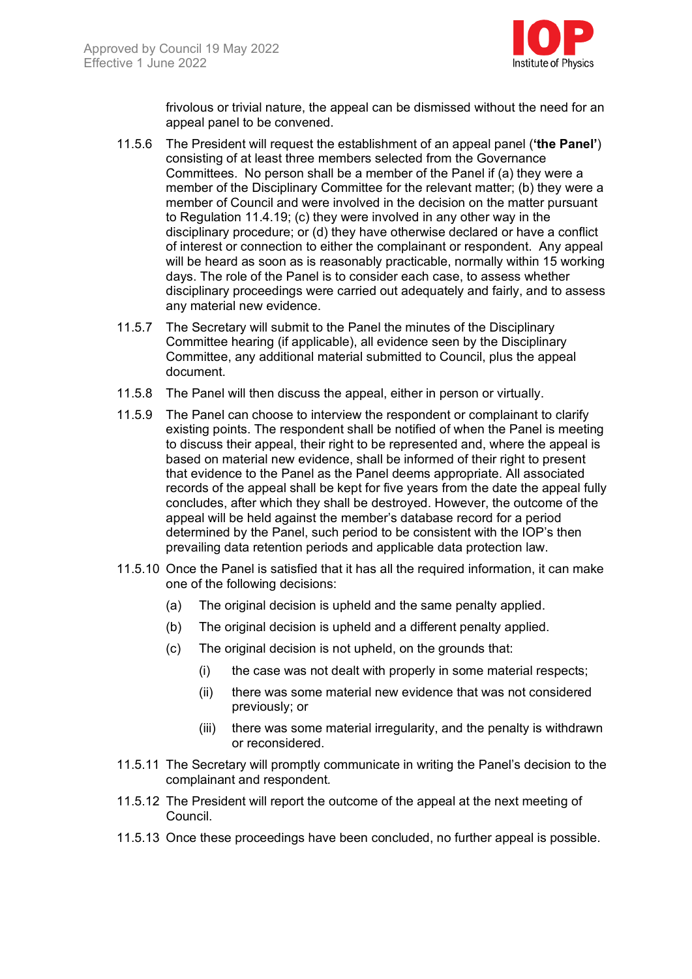

frivolous or trivial nature, the appeal can be dismissed without the need for an appeal panel to be convened.

- 11.5.6 The President will request the establishment of an appeal panel (**'the Panel'**) consisting of at least three members selected from the Governance Committees. No person shall be a member of the Panel if (a) they were a member of the Disciplinary Committee for the relevant matter; (b) they were a member of Council and were involved in the decision on the matter pursuant to Regulation 11.4.19; (c) they were involved in any other way in the disciplinary procedure; or (d) they have otherwise declared or have a conflict of interest or connection to either the complainant or respondent. Any appeal will be heard as soon as is reasonably practicable, normally within 15 working days. The role of the Panel is to consider each case, to assess whether disciplinary proceedings were carried out adequately and fairly, and to assess any material new evidence.
- 11.5.7 The Secretary will submit to the Panel the minutes of the Disciplinary Committee hearing (if applicable), all evidence seen by the Disciplinary Committee, any additional material submitted to Council, plus the appeal document.
- 11.5.8 The Panel will then discuss the appeal, either in person or virtually.
- 11.5.9 The Panel can choose to interview the respondent or complainant to clarify existing points. The respondent shall be notified of when the Panel is meeting to discuss their appeal, their right to be represented and, where the appeal is based on material new evidence, shall be informed of their right to present that evidence to the Panel as the Panel deems appropriate. All associated records of the appeal shall be kept for five years from the date the appeal fully concludes, after which they shall be destroyed. However, the outcome of the appeal will be held against the member's database record for a period determined by the Panel, such period to be consistent with the IOP's then prevailing data retention periods and applicable data protection law.
- 11.5.10 Once the Panel is satisfied that it has all the required information, it can make one of the following decisions:
	- (a) The original decision is upheld and the same penalty applied.
	- (b) The original decision is upheld and a different penalty applied.
	- (c) The original decision is not upheld, on the grounds that:
		- (i) the case was not dealt with properly in some material respects;
		- (ii) there was some material new evidence that was not considered previously; or
		- (iii) there was some material irregularity, and the penalty is withdrawn or reconsidered.
- 11.5.11 The Secretary will promptly communicate in writing the Panel's decision to the complainant and respondent*.*
- 11.5.12 The President will report the outcome of the appeal at the next meeting of Council.
- 11.5.13 Once these proceedings have been concluded, no further appeal is possible.